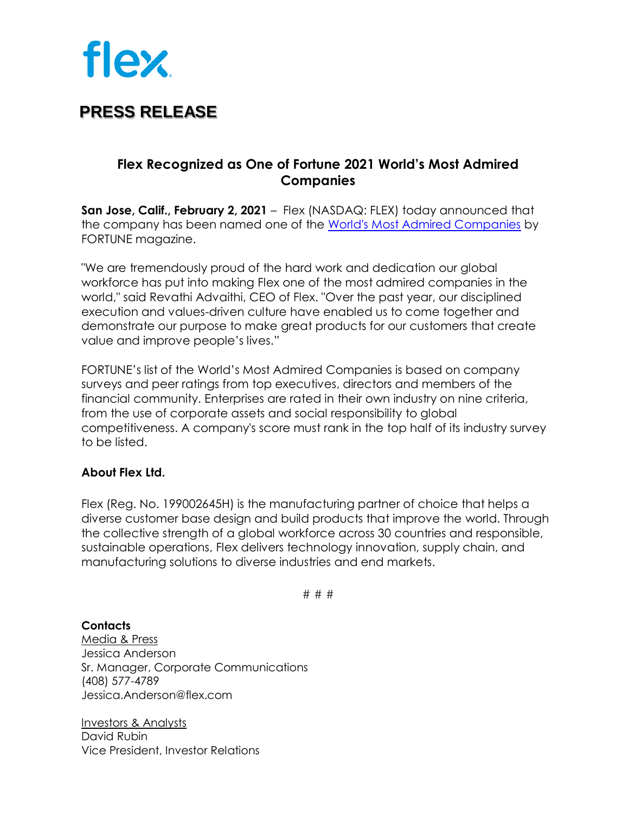

## **PRESS RELEASE**

### **Flex Recognized as One of Fortune 2021 World's Most Admired Companies**

**San Jose, Calif., February 2, 2021** [–](http://www.immuta.com/) Flex (NASDAQ: FLEX) today announced that the company has been named one of the [World's Most Admired Companies](https://fortune.com/company/flex/worlds-most-admired-companies/) by FORTUNE magazine.

"We are tremendously proud of the hard work and dedication our global workforce has put into making Flex one of the most admired companies in the world," said Revathi Advaithi, CEO of Flex. "Over the past year, our disciplined execution and values-driven culture have enabled us to come together and demonstrate our purpose to make great products for our customers that create value and improve people's lives."

FORTUNE's list of the World's Most Admired Companies is based on company surveys and peer ratings from top executives, directors and members of the financial community. Enterprises are rated in their own industry on nine criteria, from the use of corporate assets and social responsibility to global competitiveness. A company's score must rank in the top half of its industry survey to be listed.

#### **About Flex Ltd.**

Flex (Reg. No. 199002645H) is the manufacturing partner of choice that helps a diverse customer base design and build products that improve the world. Through the collective strength of a global workforce across 30 countries and responsible, sustainable operations, Flex delivers technology innovation, supply chain, and manufacturing solutions to diverse industries and end markets.

# # #

#### **Contacts**

Media & Press Jessica Anderson Sr. Manager, Corporate Communications (408) 577-4789 Jessica.Anderson@flex.com

Investors & Analysts David Rubin Vice President, Investor Relations